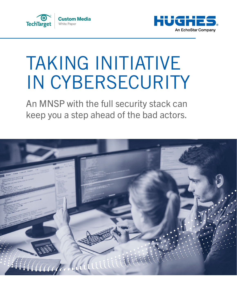



# TAKING INITIATIVE IN CYBERSECURITY

An MNSP with the full security stack can keep you a step ahead of the bad actors.

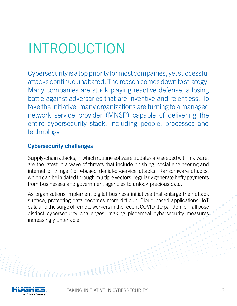# INTRODUCTION

Cybersecurity is a top priority for most companies, yet successful attacks continue unabated. The reason comes down to strategy: Many companies are stuck playing reactive defense, a losing battle against adversaries that are inventive and relentless. To take the initiative, many organizations are turning to a managed network service provider (MNSP) capable of delivering the entire cybersecurity stack, including people, processes and technology.

#### **Cybersecurity challenges**

<u> Maaannuu</u>iii

Supply-chain attacks, in which routine software updates are seeded with malware, are the latest in a wave of threats that include phishing, social engineering and internet of things (IoT)-based denial-of-service attacks. Ransomware attacks, which can be initiated through multiple vectors, regularly generate hefty payments from businesses and government agencies to unlock precious data.

As organizations implement digital business initiatives that enlarge their attack surface, protecting data becomes more difficult. Cloud-based applications, IoT data and the surge of remote workers in the recent COVID-19 pandemic—all pose distinct cybersecurity challenges, making piecemeal cybersecurity measures increasingly untenable.

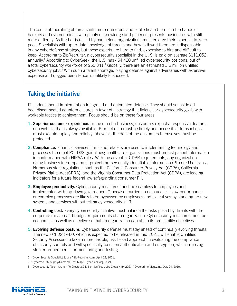The constant morphing of threats into more numerous and sophisticated forms in the hands of hackers and cybercriminals with plenty of knowledge and patience, presents businesses with still more difficulty. As the bar is raised by bad actors, organizations must enlarge their expertise to keep pace. Specialists with up-to-date knowledge of threats and how to thwart them are indispensable in any cyberdefense strategy, but these experts are hard to find, expensive to hire and difficult to keep. According to ZipRecruiter, a cybersecurity specialist in the U. S. is paid on average \$111,052 annually.1 According to CyberSeek, the U.S. has 464,420 unfilled cybersecurity positions, out of a total cybersecurity workforce of 956,341.<sup>2</sup> Globally, there are an estimated 3.5 million unfilled cybersecurity jobs.<sup>3</sup> With such a talent shortage, playing defense against adversaries with extensive expertise and dogged persistence is unlikely to succeed.

#### **Taking the initiative**

IT leaders should implement an integrated and automated defense. They should set aside ad hoc, disconnected countermeasures in favor of a strategy that links clear cybersecurity goals with workable tactics to achieve them. Focus should be on these four areas:

- **1. Superior customer experience.** In the era of e-business, customers expect a responsive, featurerich website that is always available. Product data must be timely and accessible; transactions must execute rapidly and reliably; above all, the data of the customers themselves must be protected.
- **2. Compliance.** Financial services firms and retailers are used to implementing technology and processes the meet PCI-DSS guidelines; healthcare organizations must protect patient information in conformance with HIPAA rules. With the advent of GDPR requirements, any organization doing business in Europe must protect the personally identifiable information (PII) of EU citizens. Numerous state regulations, such as the California Consumer Privacy Act (CCPA), California Privacy Rights Act (CPRA), and the Virginia Consumer Data Protection Act (CDPA), are leading indicators for a future federal law safeguarding consumer PII.
- **3. Employee productivity.** Cybersecurity measures must be seamless to employees and implemented with top-down governance. Otherwise, barriers to data access, slow performance, or complex processes are likely to be bypassed by employees and executives by standing up new systems and services without telling cybersecurity staff.
- **4. Controlling cost.** Every cybersecurity initiative must balance the risks posed by threats with the corporate mission and budget requirements of an organization. Cybersecurity measures must be economical as well as effective so that an organization can attain its profitability objectives.
- **5. Evolving defense posture.** Cybersecurity defense must stay ahead of continually evolving threats. The new PCI DSS v4.0, which is expected to be released in mid-2021, will enable Qualified Security Assessors to take a more flexible, risk-based approach in evaluating the compliance of security controls and will specifically focus on authentication and encryption, while imposing stricter requirements for monitoring and testing.
- 1 ["Cyber Security Specialist Salary,](https://www.ziprecruiter.com/Salaries/Cyber-Security-Specialist-Salary)" ZipRecruiter.com, April 22, 2021.
- 2 ["Cybersecurity Supply/Demand Heat Map,](https://www.cyberseek.org/heatmap.html)" CyberSeek.org, 2021.
- 3 ["Cybersecurity Talent Crunch To Create 3.5 Million Unfilled Jobs Globally By 2021](https://cybersecurityventures.com/jobs/)," Cybercrime Magazine, Oct. 24, 2019.

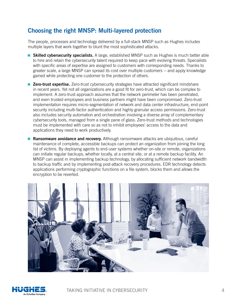## **Choosing the right MNSP: Multi-layered protection**

The people, processes and technology delivered by a full-stack MNSP such as Hughes includes multiple layers that work together to blunt the most sophisticated attacks.

- **Skilled cybersecurity specialists.** A large, established MNSP such as Hughes is much better able to hire and retain the cybersecurity talent required to keep pace with evolving threats. Specialists with specific areas of expertise are assigned to customers with corresponding needs. Thanks to greater scale, a large MNSP can spread its cost over multiple customers -- and apply knowledge gained while protecting one customer to the protection of others.
- **Zero-trust expertise.** Zero-trust cybersecurity strategies have attracted significant mindshare in recent years. Yet not all organizations are a good fit for zero-trust, which can be complex to implement. A zero-trust approach assumes that the network perimeter has been penetrated, and even trusted employees and business partners might have been compromised. Zero-trust implementation requires micro-segmentation of network and data center infrastructure, end-point security including multi-factor authentication and highly granular access permissions. Zero-trust also includes security automation and orchestration involving a diverse array of complementary cybersecurity tools, managed from a single pane of glass. Zero-trust methods and technologies must be implemented with care so as not to inhibit employees' access to the data and applications they need to work productively.
- **Ransomware avoidance and recovery.** Although ransomware attacks are ubiquitous, careful maintenance of complete, accessible backups can protect an organization from joining the long list of victims. By deploying agents to end-user systems whether on-site or remote, organizations can initiate regular backups, whether locally, at a central site, or at a remote backup facility. An MNSP can assist in implementing backup technology, by allocating sufficient network bandwidth to backup traffic and by implementing post-attack recovery procedures. EDR technology detects applications performing cryptographic functions on a file system, blocks them and allows the encryption to be reverted.



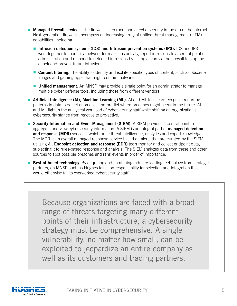- **Managed firewall services.** The firewall is a cornerstone of cybersecurity in the era of the internet. Next-generation firewalls encompass an increasing array of unified threat management (UTM) capabilities, including:
	- **Intrusion detection systems (IDS) and Intrusion prevention systems (IPS).** IDS and IPS work together to monitor a network for malicious activity, report intrusions to a central point of administration and respond to detected intrusions by taking action via the firewall to stop the attack and prevent future intrusions.
	- **Content filtering.** The ability to identify and isolate specific types of content, such as obscene images and gaming apps that might contain malware.
	- **Unified management.** An MNSP may provide a single point for an administrator to manage multiple cyber defense tools, including those from different vendors.
- **Artificial Intelligence (AI), Machine Learning (ML).** AI and ML tools can recognize recurring patterns in data to detect anomalies and predict where breaches might occur in the future. AI and ML lighten the analytical workload of cybersecurity staff while shifting an organization's cybersecurity stance from reactive to pro-active.
- **Security Information and Event Management (SIEM).** A SIEM provides a central point to aggregate and view cybersecurity information. A SIEM is an integral part of **managed detection**  and response (MDR) services, which unite threat intelligence, analytics and expert knowledge. The MDR is an overall managed response service based on alerts that are curated by the SIEM utilizing AI. **Endpoint detection and response (EDR)** tools monitor and collect endpoint data, subjecting it to rules-based response and analysis. The SIEM analyzes data from these and other sources to spot possible breaches and rank events in order of importance.
- **Best-of-breed technology.** By acquiring and combining industry-leading technology from strategic partners, an MNSP such as Hughes takes on responsibility for selection and integration that would otherwise fall to overworked cybersecurity staff.

Because organizations are faced with a broad range of threats targeting many different points of their infrastructure, a cybersecurity strategy must be comprehensive. A single vulnerability, no matter how small, can be exploited to jeopardize an entire company as well as its customers and trading partners.